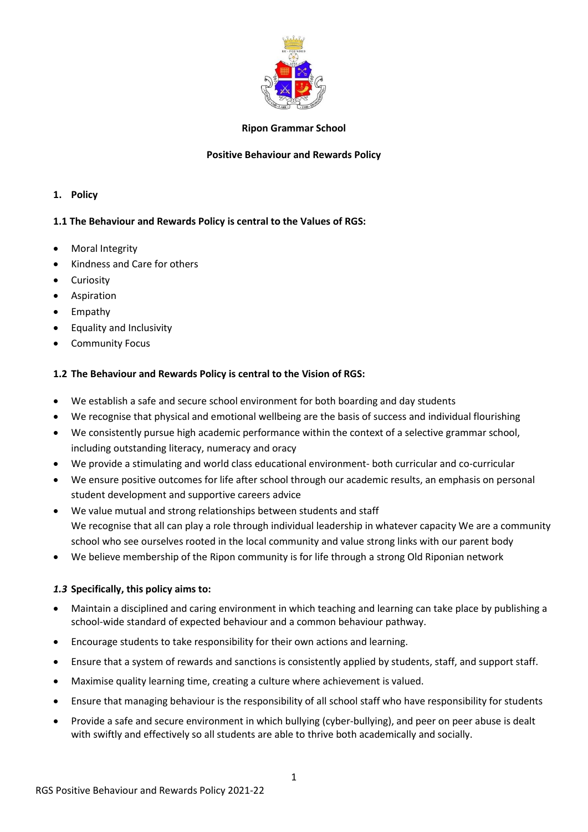

## **Ripon Grammar School**

## **Positive Behaviour and Rewards Policy**

### **1. Policy**

## **1.1 The Behaviour and Rewards Policy is central to the Values of RGS:**

- Moral Integrity
- Kindness and Care for others
- Curiosity
- Aspiration
- Empathy
- Equality and Inclusivity
- Community Focus

## **1.2 The Behaviour and Rewards Policy is central to the Vision of RGS:**

- We establish a safe and secure school environment for both boarding and day students
- We recognise that physical and emotional wellbeing are the basis of success and individual flourishing
- We consistently pursue high academic performance within the context of a selective grammar school, including outstanding literacy, numeracy and oracy
- We provide a stimulating and world class educational environment- both curricular and co-curricular
- We ensure positive outcomes for life after school through our academic results, an emphasis on personal student development and supportive careers advice
- We value mutual and strong relationships between students and staff We recognise that all can play a role through individual leadership in whatever capacity We are a community school who see ourselves rooted in the local community and value strong links with our parent body
- We believe membership of the Ripon community is for life through a strong Old Riponian network

## *1.3* **Specifically, this policy aims to:**

- Maintain a disciplined and caring environment in which teaching and learning can take place by publishing a school-wide standard of expected behaviour and a common behaviour pathway.
- Encourage students to take responsibility for their own actions and learning.
- Ensure that a system of rewards and sanctions is consistently applied by students, staff, and support staff.
- Maximise quality learning time, creating a culture where achievement is valued.
- Ensure that managing behaviour is the responsibility of all school staff who have responsibility for students
- Provide a safe and secure environment in which bullying (cyber-bullying), and peer on peer abuse is dealt with swiftly and effectively so all students are able to thrive both academically and socially.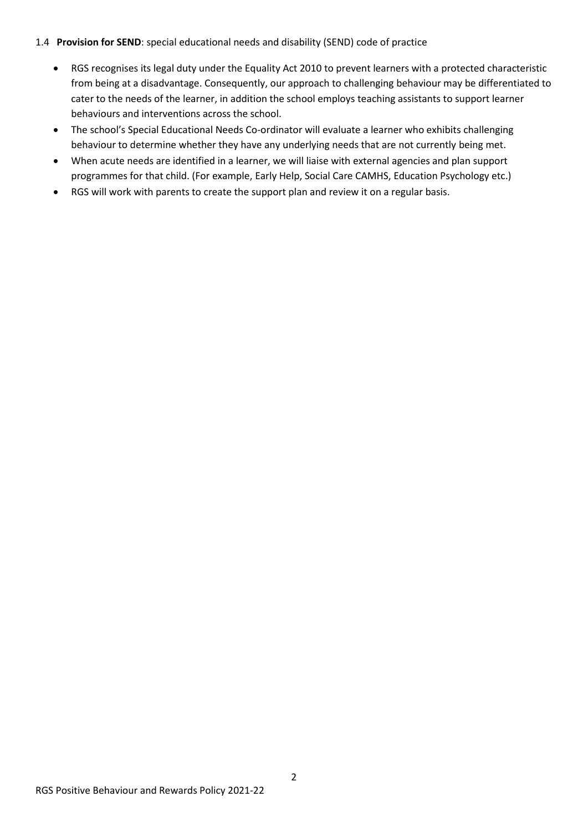## 1.4 **Provision for SEND**: special educational needs and disability (SEND) code of practice

- RGS recognises its legal duty under the Equality Act 2010 to prevent learners with a protected characteristic from being at a disadvantage. Consequently, our approach to challenging behaviour may be differentiated to cater to the needs of the learner, in addition the school employs teaching assistants to support learner behaviours and interventions across the school.
- The school's Special Educational Needs Co-ordinator will evaluate a learner who exhibits challenging behaviour to determine whether they have any underlying needs that are not currently being met.
- When acute needs are identified in a learner, we will liaise with external agencies and plan support programmes for that child. (For example, Early Help, Social Care CAMHS, Education Psychology etc.)
- RGS will work with parents to create the support plan and review it on a regular basis.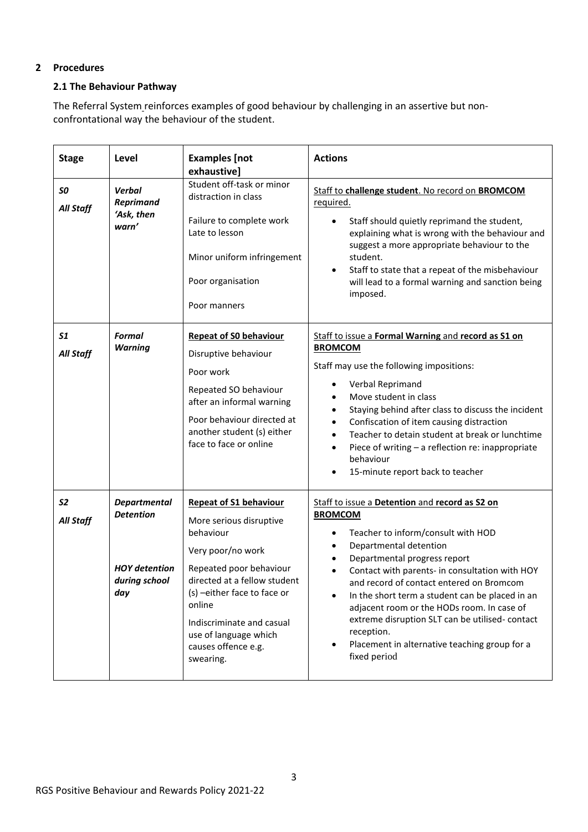# **2 Procedures**

## **2.1 The Behaviour Pathway**

The Referral System\_reinforces examples of good behaviour by challenging in an assertive but nonconfrontational way the behaviour of the student.

| <b>Stage</b>                       | Level                                                                                   | <b>Examples</b> [not<br>exhaustive]                                                                                                                                                                                                                                                      | <b>Actions</b>                                                                                                                                                                                                                                                                                                                                                                                                                                                                                                                                       |
|------------------------------------|-----------------------------------------------------------------------------------------|------------------------------------------------------------------------------------------------------------------------------------------------------------------------------------------------------------------------------------------------------------------------------------------|------------------------------------------------------------------------------------------------------------------------------------------------------------------------------------------------------------------------------------------------------------------------------------------------------------------------------------------------------------------------------------------------------------------------------------------------------------------------------------------------------------------------------------------------------|
| SO<br>All Staff                    | <b>Verbal</b><br><b>Reprimand</b><br>'Ask, then<br>warn'                                | Student off-task or minor<br>distraction in class<br>Failure to complete work<br>Late to lesson<br>Minor uniform infringement<br>Poor organisation<br>Poor manners                                                                                                                       | Staff to challenge student. No record on BROMCOM<br>required.<br>Staff should quietly reprimand the student,<br>$\bullet$<br>explaining what is wrong with the behaviour and<br>suggest a more appropriate behaviour to the<br>student.<br>Staff to state that a repeat of the misbehaviour<br>$\bullet$<br>will lead to a formal warning and sanction being<br>imposed.                                                                                                                                                                             |
| 51<br>All Staff                    | <b>Formal</b><br><b>Warning</b>                                                         | <b>Repeat of S0 behaviour</b><br>Disruptive behaviour<br>Poor work<br>Repeated SO behaviour<br>after an informal warning<br>Poor behaviour directed at<br>another student (s) either<br>face to face or online                                                                           | Staff to issue a Formal Warning and record as S1 on<br><b>BROMCOM</b><br>Staff may use the following impositions:<br>Verbal Reprimand<br>$\bullet$<br>Move student in class<br>$\bullet$<br>Staying behind after class to discuss the incident<br>$\bullet$<br>Confiscation of item causing distraction<br>$\bullet$<br>Teacher to detain student at break or lunchtime<br>$\bullet$<br>Piece of writing - a reflection re: inappropriate<br>$\bullet$<br>behaviour<br>15-minute report back to teacher                                              |
| S <sub>2</sub><br><b>All Staff</b> | <b>Departmental</b><br><b>Detention</b><br><b>HOY</b> detention<br>during school<br>day | <b>Repeat of S1 behaviour</b><br>More serious disruptive<br>behaviour<br>Very poor/no work<br>Repeated poor behaviour<br>directed at a fellow student<br>(s) -either face to face or<br>online<br>Indiscriminate and casual<br>use of language which<br>causes offence e.g.<br>swearing. | Staff to issue a Detention and record as S2 on<br><b>BROMCOM</b><br>Teacher to inform/consult with HOD<br>$\bullet$<br>Departmental detention<br>$\bullet$<br>Departmental progress report<br>$\bullet$<br>Contact with parents- in consultation with HOY<br>$\bullet$<br>and record of contact entered on Bromcom<br>In the short term a student can be placed in an<br>adjacent room or the HODs room. In case of<br>extreme disruption SLT can be utilised-contact<br>reception.<br>Placement in alternative teaching group for a<br>fixed period |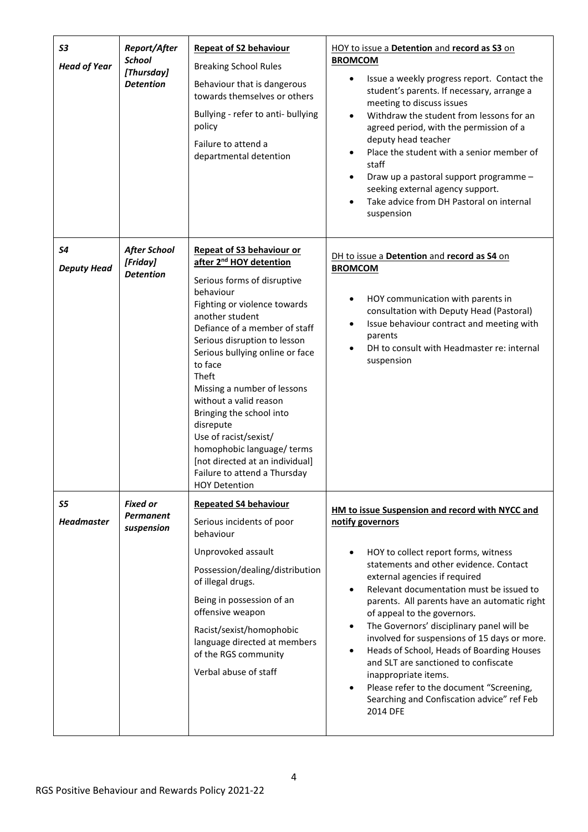| S <sub>3</sub><br><b>Head of Year</b> | Report/After<br><b>School</b><br>[Thursday]<br><b>Detention</b> | <b>Repeat of S2 behaviour</b><br><b>Breaking School Rules</b><br>Behaviour that is dangerous<br>towards themselves or others<br>Bullying - refer to anti- bullying<br>policy<br>Failure to attend a<br>departmental detention                                                                                                                                                                                                                                                                                                                             | HOY to issue a Detention and record as S3 on<br><b>BROMCOM</b><br>Issue a weekly progress report. Contact the<br>student's parents. If necessary, arrange a<br>meeting to discuss issues<br>Withdraw the student from lessons for an<br>$\bullet$<br>agreed period, with the permission of a<br>deputy head teacher<br>Place the student with a senior member of<br>staff<br>Draw up a pastoral support programme -<br>seeking external agency support.<br>Take advice from DH Pastoral on internal<br>suspension                                                                                                                                                                            |
|---------------------------------------|-----------------------------------------------------------------|-----------------------------------------------------------------------------------------------------------------------------------------------------------------------------------------------------------------------------------------------------------------------------------------------------------------------------------------------------------------------------------------------------------------------------------------------------------------------------------------------------------------------------------------------------------|----------------------------------------------------------------------------------------------------------------------------------------------------------------------------------------------------------------------------------------------------------------------------------------------------------------------------------------------------------------------------------------------------------------------------------------------------------------------------------------------------------------------------------------------------------------------------------------------------------------------------------------------------------------------------------------------|
| S4<br><b>Deputy Head</b>              | <b>After School</b><br>[Friday]<br><b>Detention</b>             | <b>Repeat of S3 behaviour or</b><br>after 2 <sup>nd</sup> HOY detention<br>Serious forms of disruptive<br>behaviour<br>Fighting or violence towards<br>another student<br>Defiance of a member of staff<br>Serious disruption to lesson<br>Serious bullying online or face<br>to face<br><b>Theft</b><br>Missing a number of lessons<br>without a valid reason<br>Bringing the school into<br>disrepute<br>Use of racist/sexist/<br>homophobic language/ terms<br>[not directed at an individual]<br>Failure to attend a Thursday<br><b>HOY Detention</b> | DH to issue a Detention and record as S4 on<br><b>BROMCOM</b><br>HOY communication with parents in<br>$\bullet$<br>consultation with Deputy Head (Pastoral)<br>Issue behaviour contract and meeting with<br>$\bullet$<br>parents<br>DH to consult with Headmaster re: internal<br>suspension                                                                                                                                                                                                                                                                                                                                                                                                 |
| S5<br><b>Headmaster</b>               | <b>Fixed or</b><br>Permanent<br>suspension                      | <b>Repeated S4 behaviour</b><br>Serious incidents of poor<br>behaviour<br>Unprovoked assault<br>Possession/dealing/distribution<br>of illegal drugs.<br>Being in possession of an<br>offensive weapon<br>Racist/sexist/homophobic<br>language directed at members<br>of the RGS community<br>Verbal abuse of staff                                                                                                                                                                                                                                        | <b>HM to issue Suspension and record with NYCC and</b><br>notify governors<br>HOY to collect report forms, witness<br>statements and other evidence. Contact<br>external agencies if required<br>Relevant documentation must be issued to<br>$\bullet$<br>parents. All parents have an automatic right<br>of appeal to the governors.<br>The Governors' disciplinary panel will be<br>$\bullet$<br>involved for suspensions of 15 days or more.<br>Heads of School, Heads of Boarding Houses<br>$\bullet$<br>and SLT are sanctioned to confiscate<br>inappropriate items.<br>Please refer to the document "Screening,<br>$\bullet$<br>Searching and Confiscation advice" ref Feb<br>2014 DFE |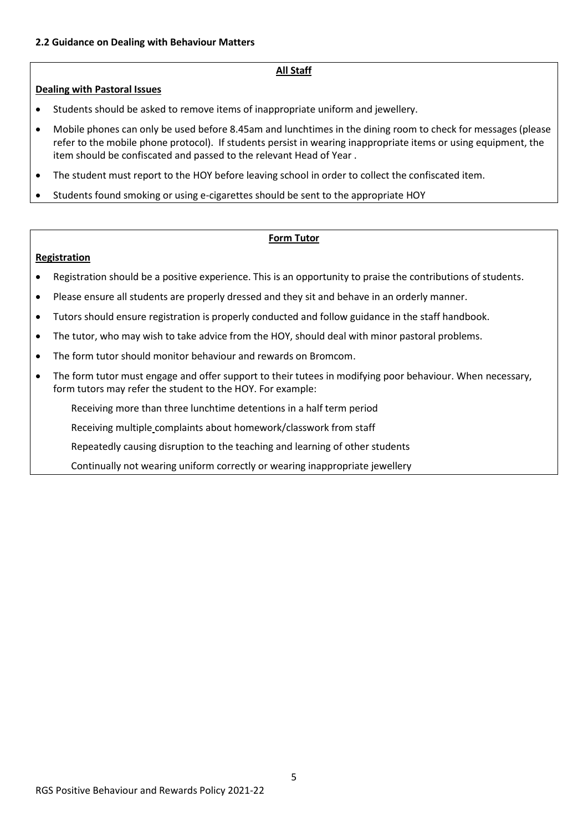### **All Staff**

### **Dealing with Pastoral Issues**

- Students should be asked to remove items of inappropriate uniform and jewellery.
- Mobile phones can only be used before 8.45am and lunchtimes in the dining room to check for messages (please refer to the mobile phone protocol). If students persist in wearing inappropriate items or using equipment, the item should be confiscated and passed to the relevant Head of Year .
- The student must report to the HOY before leaving school in order to collect the confiscated item.
- Students found smoking or using e-cigarettes should be sent to the appropriate HOY

#### **Form Tutor**

#### **Registration**

- Registration should be a positive experience. This is an opportunity to praise the contributions of students.
- Please ensure all students are properly dressed and they sit and behave in an orderly manner.
- Tutors should ensure registration is properly conducted and follow guidance in the staff handbook.
- The tutor, who may wish to take advice from the HOY, should deal with minor pastoral problems.
- The form tutor should monitor behaviour and rewards on Bromcom.
- The form tutor must engage and offer support to their tutees in modifying poor behaviour. When necessary, form tutors may refer the student to the HOY. For example:

Receiving more than three lunchtime detentions in a half term period

Receiving multiple complaints about homework/classwork from staff

Repeatedly causing disruption to the teaching and learning of other students

Continually not wearing uniform correctly or wearing inappropriate jewellery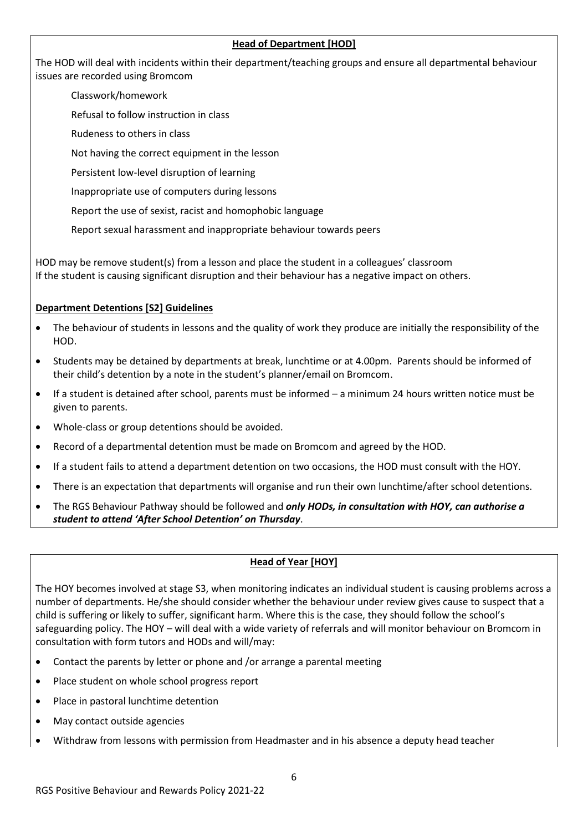## **Head of Department [HOD]**

The HOD will deal with incidents within their department/teaching groups and ensure all departmental behaviour issues are recorded using Bromcom

## Classwork/homework

Refusal to follow instruction in class

- Rudeness to others in class
- Not having the correct equipment in the lesson
- Persistent low-level disruption of learning
- Inappropriate use of computers during lessons
- Report the use of sexist, racist and homophobic language
- Report sexual harassment and inappropriate behaviour towards peers

HOD may be remove student(s) from a lesson and place the student in a colleagues' classroom If the student is causing significant disruption and their behaviour has a negative impact on others.

## **Department Detentions [S2] Guidelines**

- The behaviour of students in lessons and the quality of work they produce are initially the responsibility of the HOD.
- Students may be detained by departments at break, lunchtime or at 4.00pm. Parents should be informed of their child's detention by a note in the student's planner/email on Bromcom.
- If a student is detained after school, parents must be informed a minimum 24 hours written notice must be given to parents.
- Whole-class or group detentions should be avoided.
- Record of a departmental detention must be made on Bromcom and agreed by the HOD.
- If a student fails to attend a department detention on two occasions, the HOD must consult with the HOY.
- There is an expectation that departments will organise and run their own lunchtime/after school detentions.
- The RGS Behaviour Pathway should be followed and *only HODs, in consultation with HOY, can authorise a student to attend 'After School Detention' on Thursday*.

## **Head of Year [HOY]**

The HOY becomes involved at stage S3, when monitoring indicates an individual student is causing problems across a number of departments. He/she should consider whether the behaviour under review gives cause to suspect that a child is suffering or likely to suffer, significant harm. Where this is the case, they should follow the school's safeguarding policy. The HOY – will deal with a wide variety of referrals and will monitor behaviour on Bromcom in consultation with form tutors and HODs and will/may:

- Contact the parents by letter or phone and /or arrange a parental meeting
- Place student on whole school progress report
- Place in pastoral lunchtime detention
- May contact outside agencies
- Withdraw from lessons with permission from Headmaster and in his absence a deputy head teacher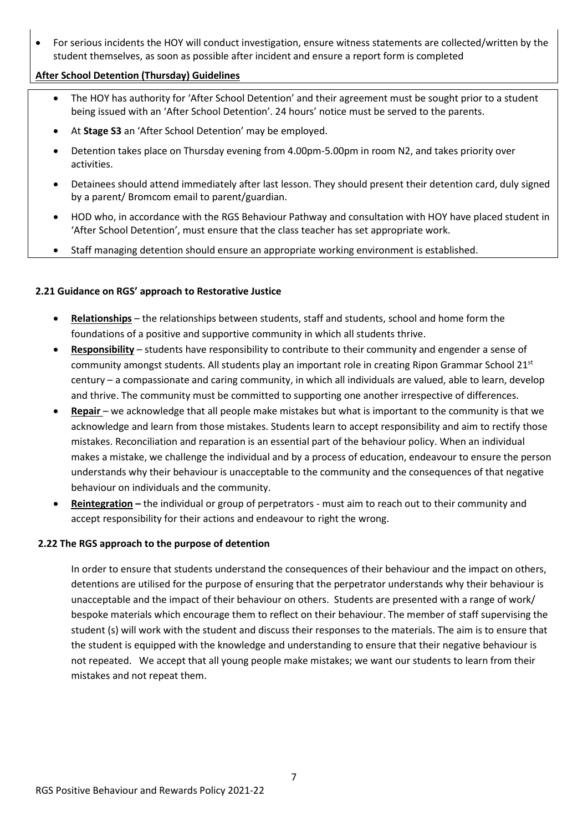• For serious incidents the HOY will conduct investigation, ensure witness statements are collected/written by the student themselves, as soon as possible after incident and ensure a report form is completed

### **After School Detention (Thursday) Guidelines**

- The HOY has authority for 'After School Detention' and their agreement must be sought prior to a student being issued with an 'After School Detention'. 24 hours' notice must be served to the parents.
- At **Stage S3** an 'After School Detention' may be employed.
- Detention takes place on Thursday evening from 4.00pm-5.00pm in room N2, and takes priority over activities.
- Detainees should attend immediately after last lesson. They should present their detention card, duly signed by a parent/ Bromcom email to parent/guardian.
- HOD who, in accordance with the RGS Behaviour Pathway and consultation with HOY have placed student in 'After School Detention', must ensure that the class teacher has set appropriate work.
- Staff managing detention should ensure an appropriate working environment is established.

### **2.21 Guidance on RGS' approach to Restorative Justice**

- **Relationships** the relationships between students, staff and students, school and home form the foundations of a positive and supportive community in which all students thrive.
- **Responsibility** students have responsibility to contribute to their community and engender a sense of community amongst students. All students play an important role in creating Ripon Grammar School 21st century – a compassionate and caring community, in which all individuals are valued, able to learn, develop and thrive. The community must be committed to supporting one another irrespective of differences.
- **Repair**  we acknowledge that all people make mistakes but what is important to the community is that we acknowledge and learn from those mistakes. Students learn to accept responsibility and aim to rectify those mistakes. Reconciliation and reparation is an essential part of the behaviour policy. When an individual makes a mistake, we challenge the individual and by a process of education, endeavour to ensure the person understands why their behaviour is unacceptable to the community and the consequences of that negative behaviour on individuals and the community.
- **Reintegration –** the individual or group of perpetrators must aim to reach out to their community and accept responsibility for their actions and endeavour to right the wrong.

## **2.22 The RGS approach to the purpose of detention**

In order to ensure that students understand the consequences of their behaviour and the impact on others, detentions are utilised for the purpose of ensuring that the perpetrator understands why their behaviour is unacceptable and the impact of their behaviour on others. Students are presented with a range of work/ bespoke materials which encourage them to reflect on their behaviour. The member of staff supervising the student (s) will work with the student and discuss their responses to the materials. The aim is to ensure that the student is equipped with the knowledge and understanding to ensure that their negative behaviour is not repeated. We accept that all young people make mistakes; we want our students to learn from their mistakes and not repeat them.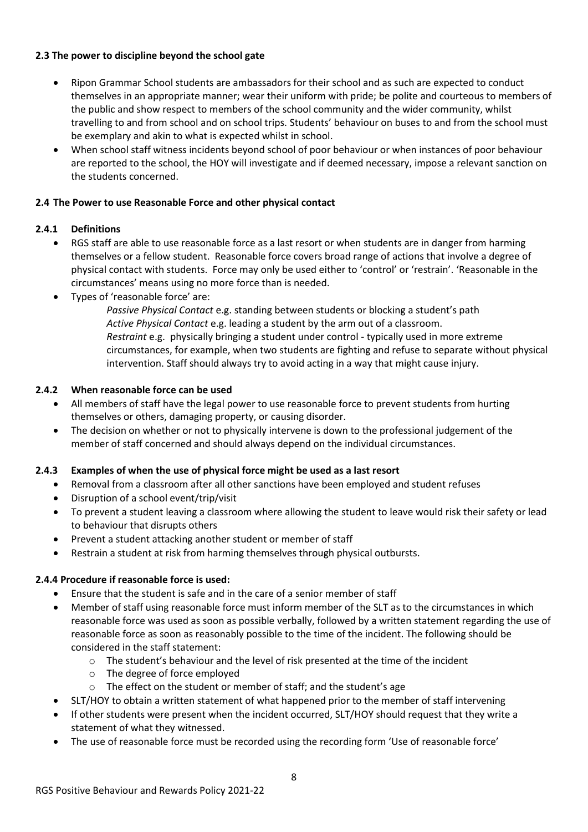### **2.3 The power to discipline beyond the school gate**

- Ripon Grammar School students are ambassadors for their school and as such are expected to conduct themselves in an appropriate manner; wear their uniform with pride; be polite and courteous to members of the public and show respect to members of the school community and the wider community, whilst travelling to and from school and on school trips. Students' behaviour on buses to and from the school must be exemplary and akin to what is expected whilst in school.
- When school staff witness incidents beyond school of poor behaviour or when instances of poor behaviour are reported to the school, the HOY will investigate and if deemed necessary, impose a relevant sanction on the students concerned.

### **2.4 The Power to use Reasonable Force and other physical contact**

### **2.4.1 Definitions**

- RGS staff are able to use reasonable force as a last resort or when students are in danger from harming themselves or a fellow student. Reasonable force covers broad range of actions that involve a degree of physical contact with students. Force may only be used either to 'control' or 'restrain'. 'Reasonable in the circumstances' means using no more force than is needed.
- Types of 'reasonable force' are:

*Passive Physical Contact* e.g. standing between students or blocking a student's path *Active Physical Contact* e.g. leading a student by the arm out of a classroom. *Restraint* e.g. physically bringing a student under control - typically used in more extreme circumstances, for example, when two students are fighting and refuse to separate without physical intervention. Staff should always try to avoid acting in a way that might cause injury.

### **2.4.2 When reasonable force can be used**

- All members of staff have the legal power to use reasonable force to prevent students from hurting themselves or others, damaging property, or causing disorder.
- The decision on whether or not to physically intervene is down to the professional judgement of the member of staff concerned and should always depend on the individual circumstances.

## **2.4.3 Examples of when the use of physical force might be used as a last resort**

- Removal from a classroom after all other sanctions have been employed and student refuses
- Disruption of a school event/trip/visit
- To prevent a student leaving a classroom where allowing the student to leave would risk their safety or lead to behaviour that disrupts others
- Prevent a student attacking another student or member of staff
- Restrain a student at risk from harming themselves through physical outbursts.

#### **2.4.4 Procedure if reasonable force is used:**

- Ensure that the student is safe and in the care of a senior member of staff
- Member of staff using reasonable force must inform member of the SLT as to the circumstances in which reasonable force was used as soon as possible verbally, followed by a written statement regarding the use of reasonable force as soon as reasonably possible to the time of the incident. The following should be considered in the staff statement:
	- $\circ$  The student's behaviour and the level of risk presented at the time of the incident
	- o The degree of force employed
	- o The effect on the student or member of staff; and the student's age
- SLT/HOY to obtain a written statement of what happened prior to the member of staff intervening
- If other students were present when the incident occurred, SLT/HOY should request that they write a statement of what they witnessed.
- The use of reasonable force must be recorded using the recording form 'Use of reasonable force'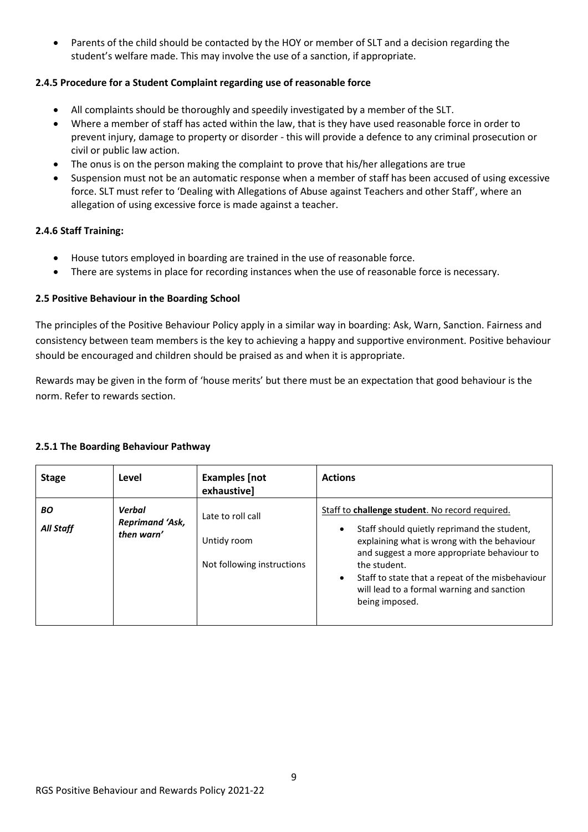• Parents of the child should be contacted by the HOY or member of SLT and a decision regarding the student's welfare made. This may involve the use of a sanction, if appropriate.

## **2.4.5 Procedure for a Student Complaint regarding use of reasonable force**

- All complaints should be thoroughly and speedily investigated by a member of the SLT.
- Where a member of staff has acted within the law, that is they have used reasonable force in order to prevent injury, damage to property or disorder - this will provide a defence to any criminal prosecution or civil or public law action.
- The onus is on the person making the complaint to prove that his/her allegations are true
- Suspension must not be an automatic response when a member of staff has been accused of using excessive force. SLT must refer to 'Dealing with Allegations of Abuse against Teachers and other Staff', where an allegation of using excessive force is made against a teacher.

# **2.4.6 Staff Training:**

- House tutors employed in boarding are trained in the use of reasonable force.
- There are systems in place for recording instances when the use of reasonable force is necessary.

# **2.5 Positive Behaviour in the Boarding School**

The principles of the Positive Behaviour Policy apply in a similar way in boarding: Ask, Warn, Sanction. Fairness and consistency between team members is the key to achieving a happy and supportive environment. Positive behaviour should be encouraged and children should be praised as and when it is appropriate.

Rewards may be given in the form of 'house merits' but there must be an expectation that good behaviour is the norm. Refer to rewards section.

| <b>Stage</b>    | Level                                          | <b>Examples</b> [not<br>exhaustive]                            | <b>Actions</b>                                                                                                                                                                                                                                                                                                                                     |
|-----------------|------------------------------------------------|----------------------------------------------------------------|----------------------------------------------------------------------------------------------------------------------------------------------------------------------------------------------------------------------------------------------------------------------------------------------------------------------------------------------------|
| BO<br>All Staff | Verbal<br><b>Reprimand 'Ask,</b><br>then warn' | Late to roll call<br>Untidy room<br>Not following instructions | Staff to challenge student. No record required.<br>Staff should quietly reprimand the student,<br>٠<br>explaining what is wrong with the behaviour<br>and suggest a more appropriate behaviour to<br>the student.<br>Staff to state that a repeat of the misbehaviour<br>$\bullet$<br>will lead to a formal warning and sanction<br>being imposed. |

## **2.5.1 The Boarding Behaviour Pathway**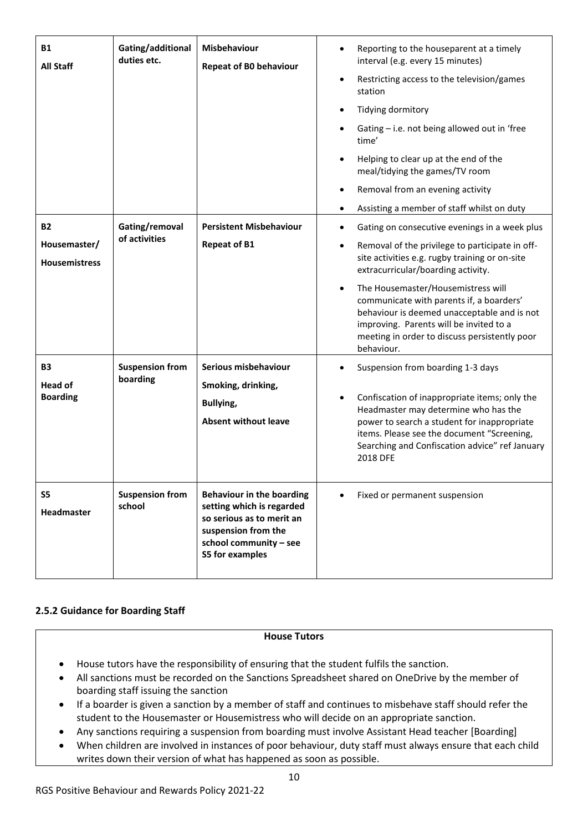| <b>B1</b><br><b>All Staff</b><br><b>B2</b><br>Housemaster/<br><b>Housemistress</b> | Gating/additional<br>duties etc.<br>Gating/removal<br>of activities | Misbehaviour<br><b>Repeat of B0 behaviour</b><br><b>Persistent Misbehaviour</b><br><b>Repeat of B1</b>                                                         | Reporting to the houseparent at a timely<br>$\bullet$<br>interval (e.g. every 15 minutes)<br>Restricting access to the television/games<br>$\bullet$<br>station<br>Tidying dormitory<br>$\bullet$<br>Gating - i.e. not being allowed out in 'free<br>time'<br>Helping to clear up at the end of the<br>$\bullet$<br>meal/tidying the games/TV room<br>Removal from an evening activity<br>$\bullet$<br>Assisting a member of staff whilst on duty<br>$\bullet$<br>Gating on consecutive evenings in a week plus<br>$\bullet$<br>Removal of the privilege to participate in off-<br>٠<br>site activities e.g. rugby training or on-site<br>extracurricular/boarding activity.<br>The Housemaster/Housemistress will<br>$\bullet$<br>communicate with parents if, a boarders'<br>behaviour is deemed unacceptable and is not<br>improving. Parents will be invited to a<br>meeting in order to discuss persistently poor<br>behaviour. |
|------------------------------------------------------------------------------------|---------------------------------------------------------------------|----------------------------------------------------------------------------------------------------------------------------------------------------------------|--------------------------------------------------------------------------------------------------------------------------------------------------------------------------------------------------------------------------------------------------------------------------------------------------------------------------------------------------------------------------------------------------------------------------------------------------------------------------------------------------------------------------------------------------------------------------------------------------------------------------------------------------------------------------------------------------------------------------------------------------------------------------------------------------------------------------------------------------------------------------------------------------------------------------------------|
| <b>B3</b><br><b>Head of</b><br><b>Boarding</b>                                     | <b>Suspension from</b><br>boarding                                  | Serious misbehaviour<br>Smoking, drinking,<br><b>Bullying,</b><br><b>Absent without leave</b>                                                                  | Suspension from boarding 1-3 days<br>Confiscation of inappropriate items; only the<br>$\bullet$<br>Headmaster may determine who has the<br>power to search a student for inappropriate<br>items. Please see the document "Screening,<br>Searching and Confiscation advice" ref January<br>2018 DFE                                                                                                                                                                                                                                                                                                                                                                                                                                                                                                                                                                                                                                   |
| S5<br><b>Headmaster</b>                                                            | <b>Suspension from</b><br>school                                    | <b>Behaviour in the boarding</b><br>setting which is regarded<br>so serious as to merit an<br>suspension from the<br>school community - see<br>S5 for examples | Fixed or permanent suspension                                                                                                                                                                                                                                                                                                                                                                                                                                                                                                                                                                                                                                                                                                                                                                                                                                                                                                        |

## **2.5.2 Guidance for Boarding Staff**

#### **House Tutors**

- House tutors have the responsibility of ensuring that the student fulfils the sanction.
- All sanctions must be recorded on the Sanctions Spreadsheet shared on OneDrive by the member of boarding staff issuing the sanction
- If a boarder is given a sanction by a member of staff and continues to misbehave staff should refer the student to the Housemaster or Housemistress who will decide on an appropriate sanction.
- Any sanctions requiring a suspension from boarding must involve Assistant Head teacher [Boarding]
- When children are involved in instances of poor behaviour, duty staff must always ensure that each child writes down their version of what has happened as soon as possible.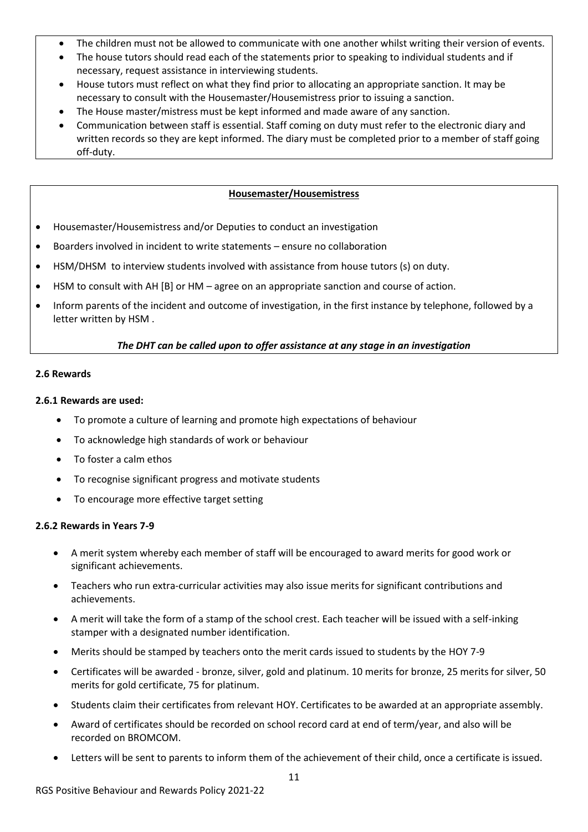- The children must not be allowed to communicate with one another whilst writing their version of events.
- The house tutors should read each of the statements prior to speaking to individual students and if necessary, request assistance in interviewing students.
- House tutors must reflect on what they find prior to allocating an appropriate sanction. It may be necessary to consult with the Housemaster/Housemistress prior to issuing a sanction.
- The House master/mistress must be kept informed and made aware of any sanction.
- Communication between staff is essential. Staff coming on duty must refer to the electronic diary and written records so they are kept informed. The diary must be completed prior to a member of staff going off-duty.

### **Housemaster/Housemistress**

- Housemaster/Housemistress and/or Deputies to conduct an investigation
- Boarders involved in incident to write statements ensure no collaboration
- HSM/DHSM to interview students involved with assistance from house tutors (s) on duty.
- HSM to consult with AH [B] or HM agree on an appropriate sanction and course of action.
- Inform parents of the incident and outcome of investigation, in the first instance by telephone, followed by a letter written by HSM .

### *The DHT can be called upon to offer assistance at any stage in an investigation*

#### **2.6 Rewards**

#### **2.6.1 Rewards are used:**

- To promote a culture of learning and promote high expectations of behaviour
- To acknowledge high standards of work or behaviour
- To foster a calm ethos
- To recognise significant progress and motivate students
- To encourage more effective target setting

#### **2.6.2 Rewards in Years 7-9**

- A merit system whereby each member of staff will be encouraged to award merits for good work or significant achievements.
- Teachers who run extra-curricular activities may also issue merits for significant contributions and achievements.
- A merit will take the form of a stamp of the school crest. Each teacher will be issued with a self-inking stamper with a designated number identification.
- Merits should be stamped by teachers onto the merit cards issued to students by the HOY 7-9
- Certificates will be awarded bronze, silver, gold and platinum. 10 merits for bronze, 25 merits for silver, 50 merits for gold certificate, 75 for platinum.
- Students claim their certificates from relevant HOY. Certificates to be awarded at an appropriate assembly.
- Award of certificates should be recorded on school record card at end of term/year, and also will be recorded on BROMCOM.
- Letters will be sent to parents to inform them of the achievement of their child, once a certificate is issued.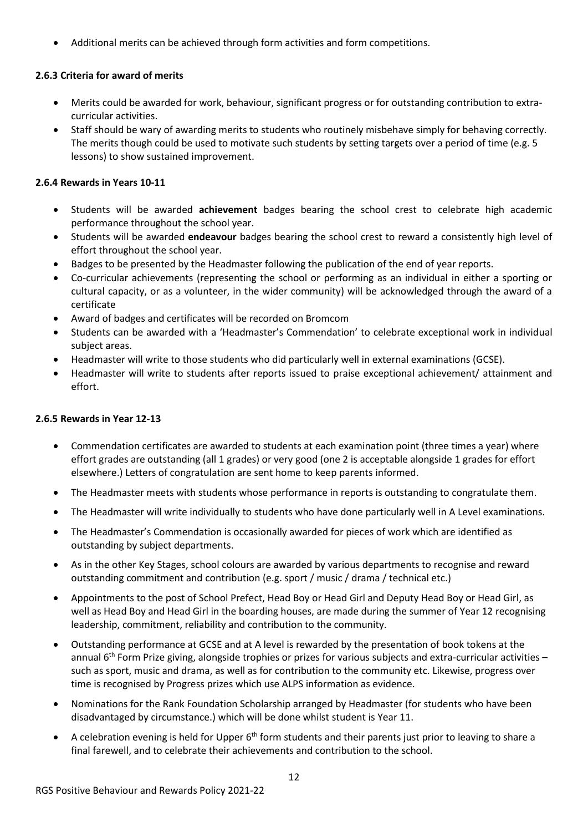• Additional merits can be achieved through form activities and form competitions.

# **2.6.3 Criteria for award of merits**

- Merits could be awarded for work, behaviour, significant progress or for outstanding contribution to extracurricular activities.
- Staff should be wary of awarding merits to students who routinely misbehave simply for behaving correctly. The merits though could be used to motivate such students by setting targets over a period of time (e.g. 5 lessons) to show sustained improvement.

# **2.6.4 Rewards in Years 10-11**

- Students will be awarded **achievement** badges bearing the school crest to celebrate high academic performance throughout the school year.
- Students will be awarded **endeavour** badges bearing the school crest to reward a consistently high level of effort throughout the school year.
- Badges to be presented by the Headmaster following the publication of the end of year reports.
- Co-curricular achievements (representing the school or performing as an individual in either a sporting or cultural capacity, or as a volunteer, in the wider community) will be acknowledged through the award of a certificate
- Award of badges and certificates will be recorded on Bromcom
- Students can be awarded with a 'Headmaster's Commendation' to celebrate exceptional work in individual subject areas.
- Headmaster will write to those students who did particularly well in external examinations (GCSE).
- Headmaster will write to students after reports issued to praise exceptional achievement/ attainment and effort.

# **2.6.5 Rewards in Year 12-13**

- Commendation certificates are awarded to students at each examination point (three times a year) where effort grades are outstanding (all 1 grades) or very good (one 2 is acceptable alongside 1 grades for effort elsewhere.) Letters of congratulation are sent home to keep parents informed.
- The Headmaster meets with students whose performance in reports is outstanding to congratulate them.
- The Headmaster will write individually to students who have done particularly well in A Level examinations.
- The Headmaster's Commendation is occasionally awarded for pieces of work which are identified as outstanding by subject departments.
- As in the other Key Stages, school colours are awarded by various departments to recognise and reward outstanding commitment and contribution (e.g. sport / music / drama / technical etc.)
- Appointments to the post of School Prefect, Head Boy or Head Girl and Deputy Head Boy or Head Girl, as well as Head Boy and Head Girl in the boarding houses, are made during the summer of Year 12 recognising leadership, commitment, reliability and contribution to the community.
- Outstanding performance at GCSE and at A level is rewarded by the presentation of book tokens at the annual  $6<sup>th</sup>$  Form Prize giving, alongside trophies or prizes for various subjects and extra-curricular activities – such as sport, music and drama, as well as for contribution to the community etc. Likewise, progress over time is recognised by Progress prizes which use ALPS information as evidence.
- Nominations for the Rank Foundation Scholarship arranged by Headmaster (for students who have been disadvantaged by circumstance.) which will be done whilst student is Year 11.
- A celebration evening is held for Upper 6<sup>th</sup> form students and their parents just prior to leaving to share a final farewell, and to celebrate their achievements and contribution to the school.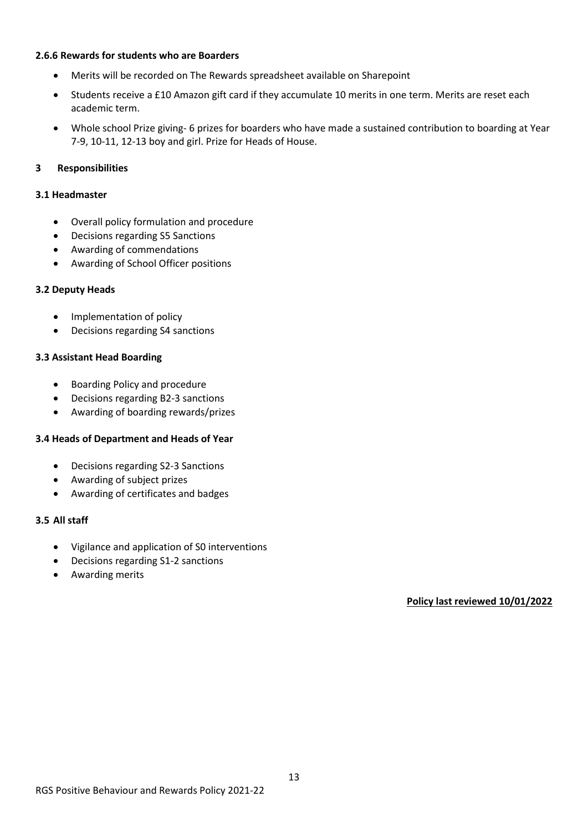#### **2.6.6 Rewards for students who are Boarders**

- Merits will be recorded on The Rewards spreadsheet available on Sharepoint
- Students receive a £10 Amazon gift card if they accumulate 10 merits in one term. Merits are reset each academic term.
- Whole school Prize giving- 6 prizes for boarders who have made a sustained contribution to boarding at Year 7-9, 10-11, 12-13 boy and girl. Prize for Heads of House.

### **3 Responsibilities**

#### **3.1 Headmaster**

- Overall policy formulation and procedure
- Decisions regarding S5 Sanctions
- Awarding of commendations
- Awarding of School Officer positions

#### **3.2 Deputy Heads**

- Implementation of policy
- Decisions regarding S4 sanctions

#### **3.3 Assistant Head Boarding**

- Boarding Policy and procedure
- Decisions regarding B2-3 sanctions
- Awarding of boarding rewards/prizes

#### **3.4 Heads of Department and Heads of Year**

- Decisions regarding S2-3 Sanctions
- Awarding of subject prizes
- Awarding of certificates and badges

#### **3.5 All staff**

- Vigilance and application of S0 interventions
- Decisions regarding S1-2 sanctions
- Awarding merits

**Policy last reviewed 10/01/2022**